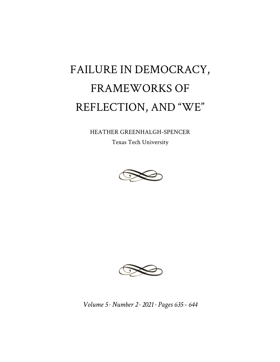## FAILURE IN DEMOCRACY, FRAMEWORKS OF REFLECTION, AND "WE"

HEATHER GREENHALGH-SPENCER

Texas Tech University





*Volume 5 · Number 2 · 2021 · Pages 635 - 644*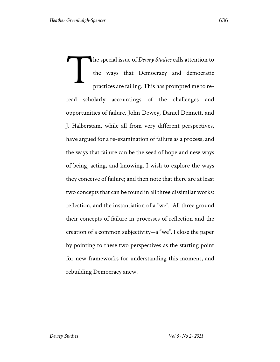he special issue of *Dewey Studies* calls attention to the ways that Democracy and democratic practices are failing. This has prompted me to reread scholarly accountings of the challenges and opportunities of failure. John Dewey, Daniel Dennett, and J. Halberstam, while all from very different perspectives, have argued for a re-examination of failure as a process, and the ways that failure can be the seed of hope and new ways of being, acting, and knowing. I wish to explore the ways they conceive of failure; and then note that there are at least two concepts that can be found in all three dissimilar works: reflection, and the instantiation of a "we". All three ground their concepts of failure in processes of reflection and the creation of a common subjectivity—a "we". I close the paper by pointing to these two perspectives as the starting point for new frameworks for understanding this moment, and rebuilding Democracy anew. T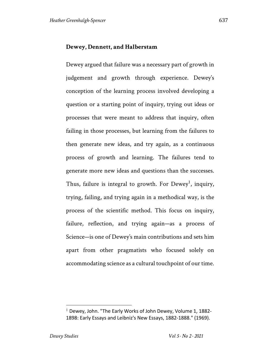## **Dewey, Dennett, and Halberstam**

Dewey argued that failure was a necessary part of growth in judgement and growth through experience. Dewey's conception of the learning process involved developing a question or a starting point of inquiry, trying out ideas or processes that were meant to address that inquiry, often failing in those processes, but learning from the failures to then generate new ideas, and try again, as a continuous process of growth and learning. The failures tend to generate more new ideas and questions than the successes. Thus, failure is integral to growth. For  $Dewey<sup>1</sup>$ , inquiry, trying, failing, and trying again in a methodical way, is the process of the scientific method. This focus on inquiry, failure, reflection, and trying again—as a process of Science—is one of Dewey's main contributions and sets him apart from other pragmatists who focused solely on accommodating science as a cultural touchpoint of our time.

 $1$  Dewey, John. "The Early Works of John Dewey, Volume 1, 1882-1898: Early Essays and Leibniz's New Essays, 1882-1888." (1969).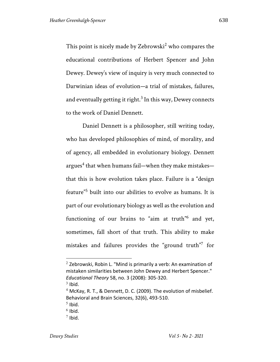This point is nicely made by Zebrowski<sup>2</sup> who compares the educational contributions of Herbert Spencer and John Dewey. Dewey's view of inquiry is very much connected to Darwinian ideas of evolution—a trial of mistakes, failures, and eventually getting it right.<sup>3</sup> In this way, Dewey connects to the work of Daniel Dennett.

Daniel Dennett is a philosopher, still writing today, who has developed philosophies of mind, of morality, and of agency, all embedded in evolutionary biology. Dennett argues<sup>4</sup> that when humans fail—when they make mistakes that this is how evolution takes place. Failure is a "design feature"<sup>5</sup> built into our abilities to evolve as humans. It is part of our evolutionary biology as well as the evolution and functioning of our brains to "aim at truth"6 and yet, sometimes, fall short of that truth. This ability to make mistakes and failures provides the "ground truth"<sup>7</sup> for

 $3$  Ibid.

 $2$  Zebrowski, Robin L. "Mind is primarily a verb: An examination of mistaken similarities between John Dewey and Herbert Spencer." *Educational Theory* 58, no. 3 (2008): 305-320.

 $4$  McKay, R. T., & Dennett, D. C. (2009). The evolution of misbelief. Behavioral and Brain Sciences, 32(6), 493-510.

 $<sup>5</sup>$  Ibid.</sup>

 $6$  Ibid.

 $<sup>7</sup>$  Ibid.</sup>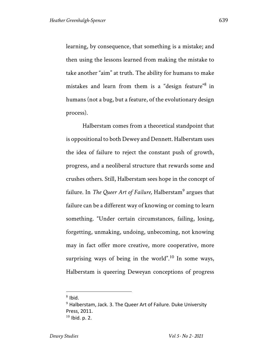learning, by consequence, that something is a mistake; and then using the lessons learned from making the mistake to take another "aim" at truth. The ability for humans to make mistakes and learn from them is a "design feature"8 in humans (not a bug, but a feature, of the evolutionary design process).

Halberstam comes from a theoretical standpoint that is oppositional to both Dewey and Dennett. Halberstam uses the idea of failure to reject the constant push of growth, progress, and a neoliberal structure that rewards some and crushes others. Still, Halberstam sees hope in the concept of failure. In *The Queer Art of Failure*, Halberstam<sup>9</sup> argues that failure can be a different way of knowing or coming to learn something. "Under certain circumstances, failing, losing, forgetting, unmaking, undoing, unbecoming, not knowing may in fact offer more creative, more cooperative, more surprising ways of being in the world".<sup>10</sup> In some ways, Halberstam is queering Deweyan conceptions of progress

 $8$  Ibid.

 $9$  Halberstam, Jack. 3. The Queer Art of Failure. Duke University Press, 2011.  $10$  Ibid. p. 2.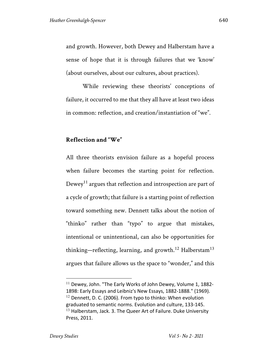and growth. However, both Dewey and Halberstam have a sense of hope that it is through failures that we 'know' (about ourselves, about our cultures, about practices).

While reviewing these theorists' conceptions of failure, it occurred to me that they all have at least two ideas in common: reflection, and creation/instantiation of "we".

## **Reflection and "We"**

All three theorists envision failure as a hopeful process when failure becomes the starting point for reflection. Dewey<sup>11</sup> argues that reflection and introspection are part of a cycle of growth; that failure is a starting point of reflection toward something new. Dennett talks about the notion of "thinko" rather than "typo" to argue that mistakes, intentional or unintentional, can also be opportunities for thinking—reflecting, learning, and growth.<sup>12</sup> Halberstam<sup>13</sup> argues that failure allows us the space to "wonder," and this

 $11$  Dewey, John. "The Early Works of John Dewey, Volume 1, 1882-1898: Early Essays and Leibniz's New Essays, 1882-1888." (1969).  $12$  Dennett, D. C. (2006). From typo to thinko: When evolution graduated to semantic norms. Evolution and culture, 133-145.  $13$  Halberstam, Jack. 3. The Queer Art of Failure. Duke University Press, 2011.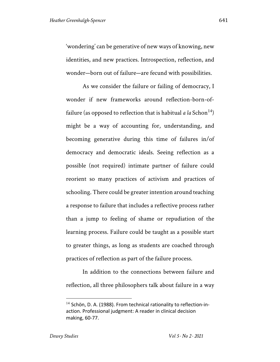'wondering' can be generative of new ways of knowing, new identities, and new practices. Introspection, reflection, and wonder—born out of failure—are fecund with possibilities.

As we consider the failure or failing of democracy, I wonder if new frameworks around reflection-born-offailure (as opposed to reflection that is habitual  $a \, la \, Schon<sup>14</sup>$ ) might be a way of accounting for, understanding, and becoming generative during this time of failures in/of democracy and democratic ideals. Seeing reflection as a possible (not required) intimate partner of failure could reorient so many practices of activism and practices of schooling. There could be greater intention around teaching a response to failure that includes a reflective process rather than a jump to feeling of shame or repudiation of the learning process. Failure could be taught as a possible start to greater things, as long as students are coached through practices of reflection as part of the failure process.

In addition to the connections between failure and reflection, all three philosophers talk about failure in a way

<sup>&</sup>lt;sup>14</sup> Schön, D. A. (1988). From technical rationality to reflection-inaction. Professional judgment: A reader in clinical decision making, 60-77.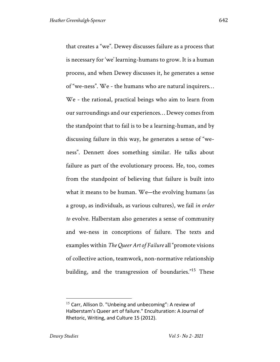that creates a "we". Dewey discusses failure as a process that is necessary for 'we' learning-humans to grow. It is a human process, and when Dewey discusses it, he generates a sense of "we-ness". We - the humans who are natural inquirers… We - the rational, practical beings who aim to learn from our surroundings and our experiences… Dewey comes from the standpoint that to fail is to be a learning-human, and by discussing failure in this way, he generates a sense of "weness". Dennett does something similar. He talks about failure as part of the evolutionary process. He, too, comes from the standpoint of believing that failure is built into what it means to be human. We—the evolving humans (as a group, as individuals, as various cultures), we fail *in order to* evolve. Halberstam also generates a sense of community and we-ness in conceptions of failure. The texts and examples within *The Queer Art of Failure* all "promote visions of collective action, teamwork, non-normative relationship building, and the transgression of boundaries."15 These

 $15$  Carr, Allison D. "Unbeing and unbecoming": A review of Halberstam's Queer art of failure." Enculturation: A Journal of Rhetoric, Writing, and Culture 15 (2012).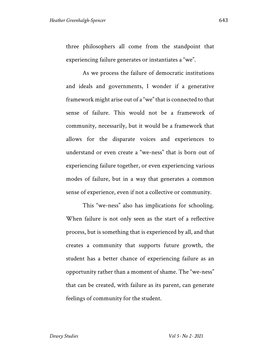three philosophers all come from the standpoint that experiencing failure generates or instantiates a "we".

As we process the failure of democratic institutions and ideals and governments, I wonder if a generative framework might arise out of a "we" that is connected to that sense of failure. This would not be a framework of community, necessarily, but it would be a framework that allows for the disparate voices and experiences to understand or even create a "we-ness" that is born out of experiencing failure together, or even experiencing various modes of failure, but in a way that generates a common sense of experience, even if not a collective or community.

This "we-ness" also has implications for schooling. When failure is not only seen as the start of a reflective process, but is something that is experienced by all, and that creates a community that supports future growth, the student has a better chance of experiencing failure as an opportunity rather than a moment of shame. The "we-ness" that can be created, with failure as its parent, can generate feelings of community for the student.